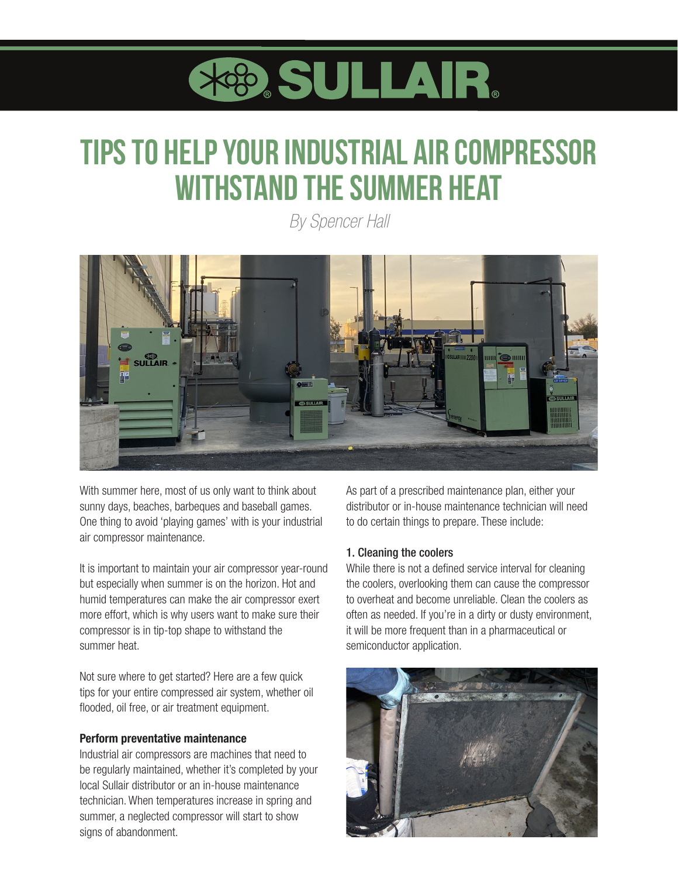

# **Tips to Help Your Industrial Air Compressor Withstand the Summer Heat**

*By Spencer Hall*



With summer here, most of us only want to think about sunny days, beaches, barbeques and baseball games. One thing to avoid 'playing games' with is your industrial air compressor maintenance.

It is important to maintain your air compressor year-round but especially when summer is on the horizon. Hot and humid temperatures can make the air compressor exert more effort, which is why users want to make sure their compressor is in tip-top shape to withstand the summer heat.

Not sure where to get started? Here are a few quick tips for your entire compressed air system, whether oil flooded, oil free, or air treatment equipment.

#### Perform preventative maintenance

Industrial air compressors are machines that need to be regularly maintained, whether it's completed by your local Sullair distributor or an in-house maintenance technician. When temperatures increase in spring and summer, a neglected compressor will start to show signs of abandonment.

As part of a prescribed maintenance plan, either your distributor or in-house maintenance technician will need to do certain things to prepare. These include:

#### 1. Cleaning the coolers

While there is not a defined service interval for cleaning the coolers, overlooking them can cause the compressor to overheat and become unreliable. Clean the coolers as often as needed. If you're in a dirty or dusty environment, it will be more frequent than in a pharmaceutical or semiconductor application.